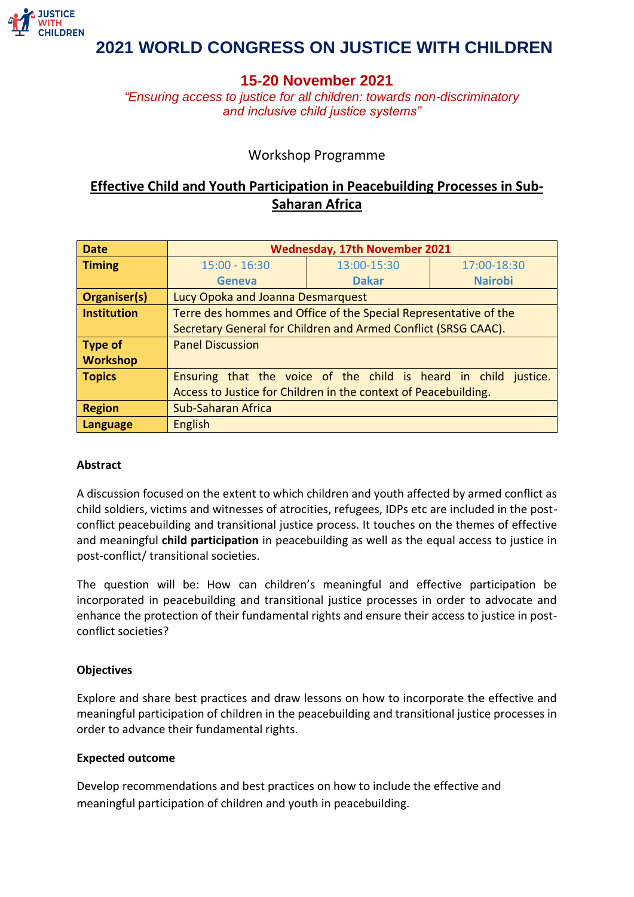

# **15-20 November 2021**

*"Ensuring access to justice for all children: towards non-discriminatory and inclusive child justice systems"*

## Workshop Programme

# **Effective Child and Youth Participation in Peacebuilding Processes in Sub-Saharan Africa**

| <b>Date</b>         | <b>Wednesday, 17th November 2021</b>                             |              |                |
|---------------------|------------------------------------------------------------------|--------------|----------------|
| <b>Timing</b>       | $15:00 - 16:30$                                                  | 13:00-15:30  | 17:00-18:30    |
|                     | <b>Geneva</b>                                                    | <b>Dakar</b> | <b>Nairobi</b> |
| <b>Organiser(s)</b> | Lucy Opoka and Joanna Desmarquest                                |              |                |
| Institution         | Terre des hommes and Office of the Special Representative of the |              |                |
|                     | Secretary General for Children and Armed Conflict (SRSG CAAC).   |              |                |
| Type of             | <b>Panel Discussion</b>                                          |              |                |
| <b>Workshop</b>     |                                                                  |              |                |
| Topics              | Ensuring that the voice of the child is heard in child justice.  |              |                |
|                     | Access to Justice for Children in the context of Peacebuilding.  |              |                |
| <b>Region</b>       | <b>Sub-Saharan Africa</b>                                        |              |                |
| Language            | <b>English</b>                                                   |              |                |

### **Abstract**

A discussion focused on the extent to which children and youth affected by armed conflict as child soldiers, victims and witnesses of atrocities, refugees, IDPs etc are included in the postconflict peacebuilding and transitional justice process. It touches on the themes of effective and meaningful **child participation** in peacebuilding as well as the equal access to justice in post-conflict/ transitional societies.

The question will be: How can children's meaningful and effective participation be incorporated in peacebuilding and transitional justice processes in order to advocate and enhance the protection of their fundamental rights and ensure their access to justice in postconflict societies?

### **Objectives**

Explore and share best practices and draw lessons on how to incorporate the effective and meaningful participation of children in the peacebuilding and transitional justice processes in order to advance their fundamental rights.

### **Expected outcome**

Develop recommendations and best practices on how to include the effective and meaningful participation of children and youth in peacebuilding.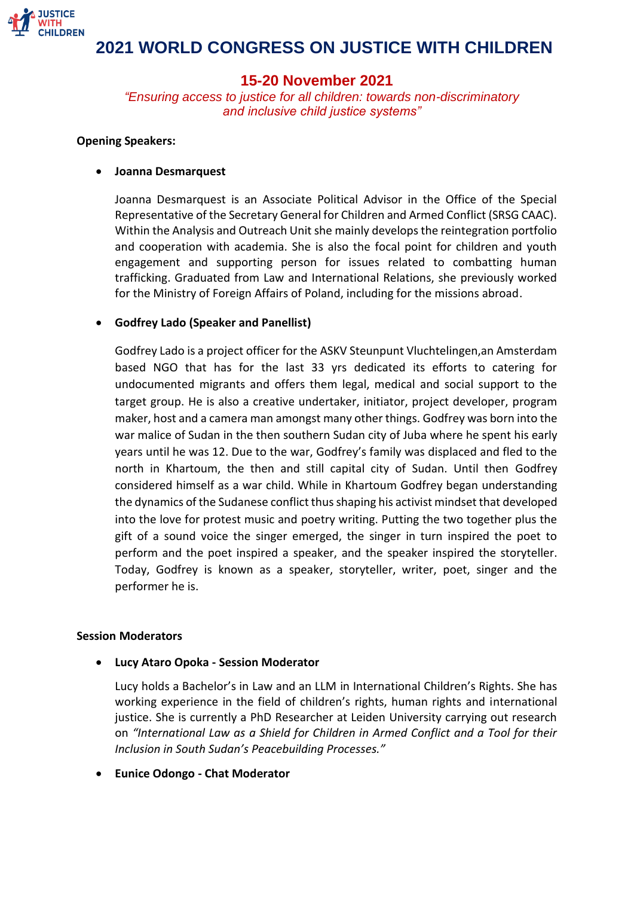

## **15-20 November 2021**

*"Ensuring access to justice for all children: towards non-discriminatory and inclusive child justice systems"*

### **Opening Speakers:**

### • **Joanna Desmarquest**

Joanna Desmarquest is an Associate Political Advisor in the Office of the Special Representative of the Secretary General for Children and Armed Conflict (SRSG CAAC). Within the Analysis and Outreach Unit she mainly develops the reintegration portfolio and cooperation with academia. She is also the focal point for children and youth engagement and supporting person for issues related to combatting human trafficking. Graduated from Law and International Relations, she previously worked for the Ministry of Foreign Affairs of Poland, including for the missions abroad.

### • **Godfrey Lado (Speaker and Panellist)**

Godfrey Lado is a project officer for the ASKV Steunpunt Vluchtelingen,an Amsterdam based NGO that has for the last 33 yrs dedicated its efforts to catering for undocumented migrants and offers them legal, medical and social support to the target group. He is also a creative undertaker, initiator, project developer, program maker, host and a camera man amongst many other things. Godfrey was born into the war malice of Sudan in the then southern Sudan city of Juba where he spent his early years until he was 12. Due to the war, Godfrey's family was displaced and fled to the north in Khartoum, the then and still capital city of Sudan. Until then Godfrey considered himself as a war child. While in Khartoum Godfrey began understanding the dynamics of the Sudanese conflict thus shaping his activist mindset that developed into the love for protest music and poetry writing. Putting the two together plus the gift of a sound voice the singer emerged, the singer in turn inspired the poet to perform and the poet inspired a speaker, and the speaker inspired the storyteller. Today, Godfrey is known as a speaker, storyteller, writer, poet, singer and the performer he is.

### **Session Moderators**

• **Lucy Ataro Opoka - Session Moderator**

Lucy holds a Bachelor's in Law and an LLM in International Children's Rights. She has working experience in the field of children's rights, human rights and international justice. She is currently a PhD Researcher at Leiden University carrying out research on *"International Law as a Shield for Children in Armed Conflict and a Tool for their Inclusion in South Sudan's Peacebuilding Processes."*

• **Eunice Odongo - Chat Moderator**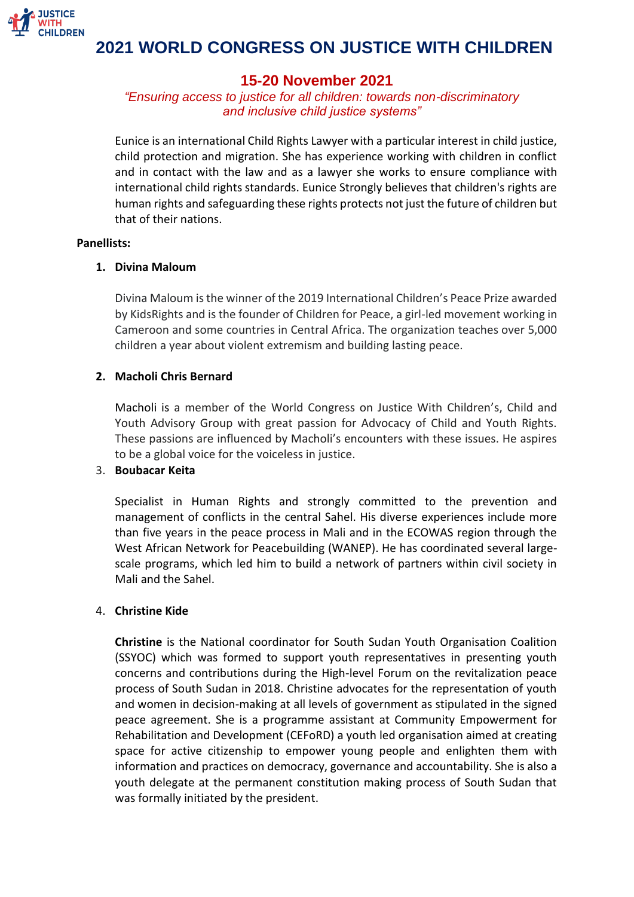

## **15-20 November 2021**

*"Ensuring access to justice for all children: towards non-discriminatory and inclusive child justice systems"*

Eunice is an international Child Rights Lawyer with a particular interest in child justice, child protection and migration. She has experience working with children in conflict and in contact with the law and as a lawyer she works to ensure compliance with international child rights standards. Eunice Strongly believes that children's rights are human rights and safeguarding these rights protects not just the future of children but that of their nations.

#### **Panellists:**

### **1. Divina Maloum**

Divina Maloum is the winner of the 2019 International Children's Peace Prize awarded by KidsRights and is the founder of Children for Peace, a girl-led movement working in Cameroon and some countries in Central Africa. The organization teaches over 5,000 children a year about violent extremism and building lasting peace.

### **2. Macholi Chris Bernard**

Macholi is a member of the World Congress on Justice With Children's, Child and Youth Advisory Group with great passion for Advocacy of Child and Youth Rights. These passions are influenced by Macholi's encounters with these issues. He aspires to be a global voice for the voiceless in justice.

### 3. **Boubacar Keita**

Specialist in Human Rights and strongly committed to the prevention and management of conflicts in the central Sahel. His diverse experiences include more than five years in the peace process in Mali and in the ECOWAS region through the West African Network for Peacebuilding (WANEP). He has coordinated several largescale programs, which led him to build a network of partners within civil society in Mali and the Sahel.

### 4. **Christine Kide**

**Christine** is the National coordinator for South Sudan Youth Organisation Coalition (SSYOC) which was formed to support youth representatives in presenting youth concerns and contributions during the High-level Forum on the revitalization peace process of South Sudan in 2018. Christine advocates for the representation of youth and women in decision-making at all levels of government as stipulated in the signed peace agreement. She is a programme assistant at Community Empowerment for Rehabilitation and Development (CEFoRD) a youth led organisation aimed at creating space for active citizenship to empower young people and enlighten them with information and practices on democracy, governance and accountability. She is also a youth delegate at the permanent constitution making process of South Sudan that was formally initiated by the president.